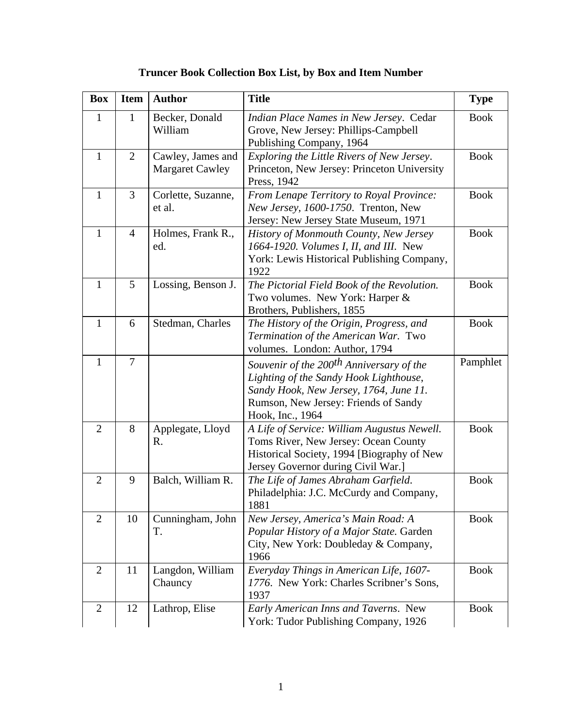| <b>Box</b>     | <b>Item</b>    | <b>Author</b>                               | <b>Title</b>                                                                                                                                                                                         | <b>Type</b> |
|----------------|----------------|---------------------------------------------|------------------------------------------------------------------------------------------------------------------------------------------------------------------------------------------------------|-------------|
| $\mathbf{1}$   | $\mathbf{1}$   | Becker, Donald<br>William                   | Indian Place Names in New Jersey. Cedar<br>Grove, New Jersey: Phillips-Campbell<br>Publishing Company, 1964                                                                                          | <b>Book</b> |
| $\mathbf{1}$   | $\overline{2}$ | Cawley, James and<br><b>Margaret Cawley</b> | Exploring the Little Rivers of New Jersey.<br>Princeton, New Jersey: Princeton University<br>Press, 1942                                                                                             | <b>Book</b> |
| $\mathbf{1}$   | $\overline{3}$ | Corlette, Suzanne,<br>et al.                | From Lenape Territory to Royal Province:<br>New Jersey, 1600-1750. Trenton, New<br>Jersey: New Jersey State Museum, 1971                                                                             | <b>Book</b> |
| $\mathbf{1}$   | $\overline{4}$ | Holmes, Frank R.,<br>ed.                    | History of Monmouth County, New Jersey<br>1664-1920. Volumes I, II, and III. New<br>York: Lewis Historical Publishing Company,<br>1922                                                               | <b>Book</b> |
| $\mathbf{1}$   | 5              | Lossing, Benson J.                          | The Pictorial Field Book of the Revolution.<br>Two volumes. New York: Harper &<br>Brothers, Publishers, 1855                                                                                         | <b>Book</b> |
| $\mathbf{1}$   | 6              | Stedman, Charles                            | The History of the Origin, Progress, and<br>Termination of the American War. Two<br>volumes. London: Author, 1794                                                                                    | <b>Book</b> |
| $\mathbf{1}$   | $\overline{7}$ |                                             | Souvenir of the 200 <sup>th</sup> Anniversary of the<br>Lighting of the Sandy Hook Lighthouse,<br>Sandy Hook, New Jersey, 1764, June 11.<br>Rumson, New Jersey: Friends of Sandy<br>Hook, Inc., 1964 | Pamphlet    |
| $\overline{2}$ | 8              | Applegate, Lloyd<br>R.                      | A Life of Service: William Augustus Newell.<br>Toms River, New Jersey: Ocean County<br>Historical Society, 1994 [Biography of New<br>Jersey Governor during Civil War.]                              | <b>Book</b> |
| $\overline{2}$ | 9              | Balch, William R.                           | The Life of James Abraham Garfield.<br>Philadelphia: J.C. McCurdy and Company,<br>1881                                                                                                               | <b>Book</b> |
| $\overline{2}$ | 10             | Cunningham, John<br>T.                      | New Jersey, America's Main Road: A<br>Popular History of a Major State. Garden<br>City, New York: Doubleday & Company,<br>1966                                                                       | <b>Book</b> |
| $\overline{2}$ | 11             | Langdon, William<br>Chauncy                 | Everyday Things in American Life, 1607-<br>1776. New York: Charles Scribner's Sons,<br>1937                                                                                                          | <b>Book</b> |
| $\mathbf{2}$   | 12             | Lathrop, Elise                              | Early American Inns and Taverns. New<br>York: Tudor Publishing Company, 1926                                                                                                                         | <b>Book</b> |

## **Truncer Book Collection Box List, by Box and Item Number**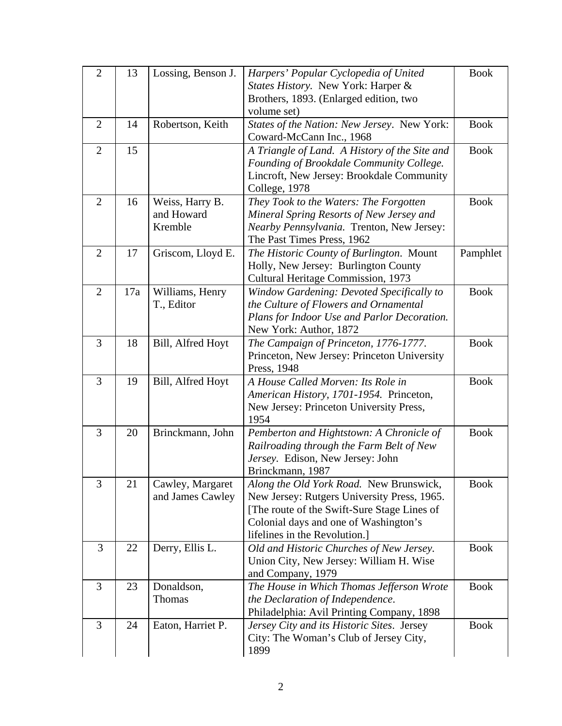| $\overline{2}$ | 13  | Lossing, Benson J.            | Harpers' Popular Cyclopedia of United                                                      | <b>Book</b> |
|----------------|-----|-------------------------------|--------------------------------------------------------------------------------------------|-------------|
|                |     |                               | States History. New York: Harper &                                                         |             |
|                |     |                               | Brothers, 1893. (Enlarged edition, two                                                     |             |
|                |     |                               | volume set)                                                                                |             |
| $\overline{2}$ | 14  | Robertson, Keith              | States of the Nation: New Jersey. New York:                                                | <b>Book</b> |
|                |     |                               | Coward-McCann Inc., 1968                                                                   |             |
| $\overline{2}$ | 15  |                               | A Triangle of Land. A History of the Site and                                              | <b>Book</b> |
|                |     |                               | Founding of Brookdale Community College.                                                   |             |
|                |     |                               | Lincroft, New Jersey: Brookdale Community                                                  |             |
| $\overline{2}$ | 16  |                               | College, 1978                                                                              | <b>Book</b> |
|                |     | Weiss, Harry B.<br>and Howard | They Took to the Waters: The Forgotten<br>Mineral Spring Resorts of New Jersey and         |             |
|                |     | Kremble                       | Nearby Pennsylvania. Trenton, New Jersey:                                                  |             |
|                |     |                               | The Past Times Press, 1962                                                                 |             |
| $\overline{2}$ | 17  | Griscom, Lloyd E.             | The Historic County of Burlington. Mount                                                   | Pamphlet    |
|                |     |                               | Holly, New Jersey: Burlington County                                                       |             |
|                |     |                               | Cultural Heritage Commission, 1973                                                         |             |
| $\overline{2}$ | 17a | Williams, Henry               | Window Gardening: Devoted Specifically to                                                  | <b>Book</b> |
|                |     | T., Editor                    | the Culture of Flowers and Ornamental                                                      |             |
|                |     |                               | Plans for Indoor Use and Parlor Decoration.                                                |             |
|                |     |                               | New York: Author, 1872                                                                     |             |
| 3              | 18  | Bill, Alfred Hoyt             | The Campaign of Princeton, 1776-1777.                                                      | <b>Book</b> |
|                |     |                               | Princeton, New Jersey: Princeton University                                                |             |
|                |     |                               | Press, 1948                                                                                |             |
| 3              | 19  | Bill, Alfred Hoyt             | A House Called Morven: Its Role in                                                         | <b>Book</b> |
|                |     |                               | American History, 1701-1954. Princeton,                                                    |             |
|                |     |                               | New Jersey: Princeton University Press,                                                    |             |
|                |     |                               | 1954                                                                                       |             |
| $\overline{3}$ | 20  | Brinckmann, John              | Pemberton and Hightstown: A Chronicle of                                                   | <b>Book</b> |
|                |     |                               | Railroading through the Farm Belt of New                                                   |             |
|                |     |                               | Jersey. Edison, New Jersey: John                                                           |             |
|                |     |                               | Brinckmann, 1987                                                                           |             |
| 3              | 21  | Cawley, Margaret              | Along the Old York Road. New Brunswick,                                                    | <b>Book</b> |
|                |     | and James Cawley              | New Jersey: Rutgers University Press, 1965.<br>[The route of the Swift-Sure Stage Lines of |             |
|                |     |                               | Colonial days and one of Washington's                                                      |             |
|                |     |                               | lifelines in the Revolution.                                                               |             |
| 3              | 22  | Derry, Ellis L.               | Old and Historic Churches of New Jersey.                                                   | <b>Book</b> |
|                |     |                               | Union City, New Jersey: William H. Wise                                                    |             |
|                |     |                               | and Company, 1979                                                                          |             |
| 3              | 23  | Donaldson,                    | The House in Which Thomas Jefferson Wrote                                                  | <b>Book</b> |
|                |     | Thomas                        | the Declaration of Independence.                                                           |             |
|                |     |                               | Philadelphia: Avil Printing Company, 1898                                                  |             |
| 3              | 24  | Eaton, Harriet P.             | Jersey City and its Historic Sites. Jersey                                                 | <b>Book</b> |
|                |     |                               | City: The Woman's Club of Jersey City,                                                     |             |
|                |     |                               | 1899                                                                                       |             |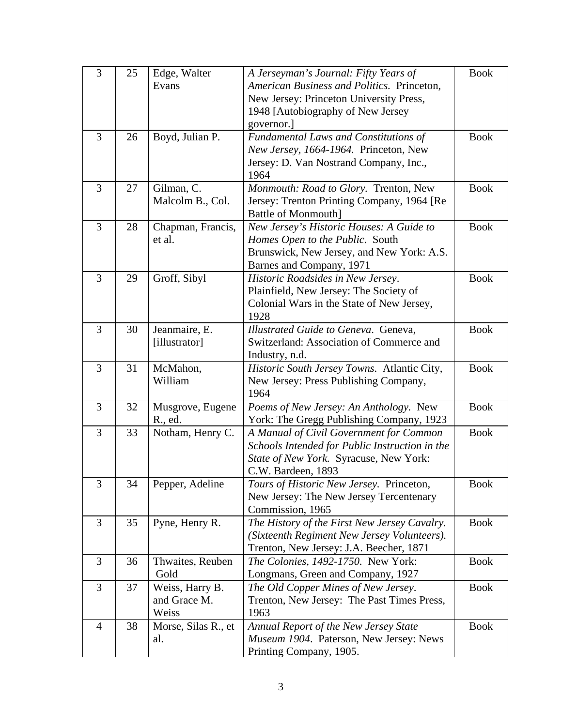| 3              | 25 | Edge, Walter        | A Jerseyman's Journal: Fifty Years of             | <b>Book</b> |
|----------------|----|---------------------|---------------------------------------------------|-------------|
|                |    | Evans               | American Business and Politics. Princeton,        |             |
|                |    |                     | New Jersey: Princeton University Press,           |             |
|                |    |                     | 1948 [Autobiography of New Jersey                 |             |
|                |    |                     | governor.]                                        |             |
| 3              | 26 | Boyd, Julian P.     | <b>Fundamental Laws and Constitutions of</b>      | <b>Book</b> |
|                |    |                     | New Jersey, 1664-1964. Princeton, New             |             |
|                |    |                     | Jersey: D. Van Nostrand Company, Inc.,            |             |
|                |    |                     | 1964                                              |             |
| 3              | 27 | Gilman, C.          | Monmouth: Road to Glory. Trenton, New             | <b>Book</b> |
|                |    | Malcolm B., Col.    | Jersey: Trenton Printing Company, 1964 [Re        |             |
|                |    |                     | <b>Battle of Monmouth]</b>                        |             |
| 3              | 28 | Chapman, Francis,   | New Jersey's Historic Houses: A Guide to          | <b>Book</b> |
|                |    | et al.              | Homes Open to the Public. South                   |             |
|                |    |                     | Brunswick, New Jersey, and New York: A.S.         |             |
|                |    |                     | Barnes and Company, 1971                          |             |
| 3              | 29 | Groff, Sibyl        | Historic Roadsides in New Jersey.                 | <b>Book</b> |
|                |    |                     | Plainfield, New Jersey: The Society of            |             |
|                |    |                     | Colonial Wars in the State of New Jersey,<br>1928 |             |
| 3              | 30 | Jeanmaire, E.       | Illustrated Guide to Geneva. Geneva,              | <b>Book</b> |
|                |    | [illustrator]       | Switzerland: Association of Commerce and          |             |
|                |    |                     | Industry, n.d.                                    |             |
| 3              | 31 | McMahon,            | Historic South Jersey Towns. Atlantic City,       | <b>Book</b> |
|                |    | William             | New Jersey: Press Publishing Company,             |             |
|                |    |                     | 1964                                              |             |
| 3              | 32 | Musgrove, Eugene    | Poems of New Jersey: An Anthology. New            | <b>Book</b> |
|                |    | R., ed.             | York: The Gregg Publishing Company, 1923          |             |
| 3              | 33 | Notham, Henry C.    | A Manual of Civil Government for Common           | <b>Book</b> |
|                |    |                     | Schools Intended for Public Instruction in the    |             |
|                |    |                     | State of New York. Syracuse, New York:            |             |
|                |    |                     | C.W. Bardeen, 1893                                |             |
| 3              | 34 | Pepper, Adeline     | Tours of Historic New Jersey. Princeton,          | <b>Book</b> |
|                |    |                     | New Jersey: The New Jersey Tercentenary           |             |
|                |    |                     | Commission, 1965                                  |             |
| 3              | 35 | Pyne, Henry R.      | The History of the First New Jersey Cavalry.      | <b>Book</b> |
|                |    |                     | (Sixteenth Regiment New Jersey Volunteers).       |             |
|                |    |                     | Trenton, New Jersey: J.A. Beecher, 1871           |             |
| 3              | 36 | Thwaites, Reuben    | The Colonies, 1492-1750. New York:                | <b>Book</b> |
|                |    | Gold                | Longmans, Green and Company, 1927                 |             |
| 3              | 37 | Weiss, Harry B.     | The Old Copper Mines of New Jersey.               | <b>Book</b> |
|                |    | and Grace M.        | Trenton, New Jersey: The Past Times Press,        |             |
|                |    | Weiss               | 1963                                              |             |
| $\overline{4}$ | 38 | Morse, Silas R., et | Annual Report of the New Jersey State             | <b>Book</b> |
|                |    | al.                 | Museum 1904. Paterson, New Jersey: News           |             |
|                |    |                     | Printing Company, 1905.                           |             |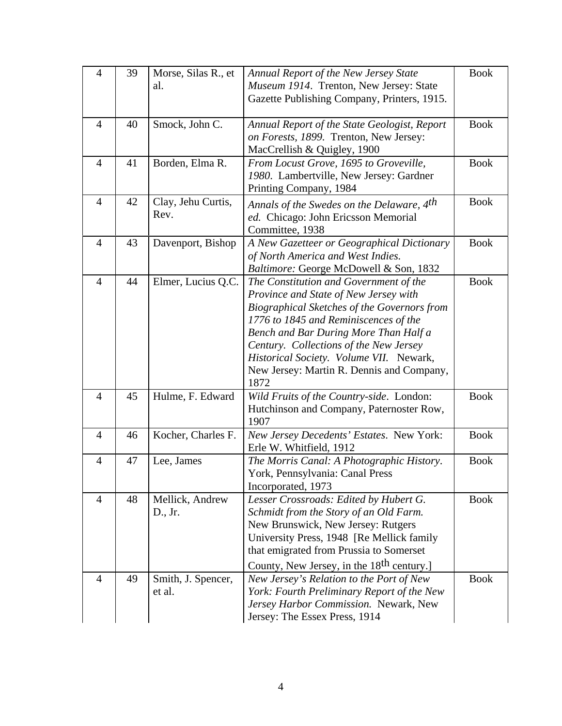| $\overline{4}$ | 39 | Morse, Silas R., et<br>al.   | Annual Report of the New Jersey State<br>Museum 1914. Trenton, New Jersey: State                                                                                                                                                                                                                                                                           | <b>Book</b> |
|----------------|----|------------------------------|------------------------------------------------------------------------------------------------------------------------------------------------------------------------------------------------------------------------------------------------------------------------------------------------------------------------------------------------------------|-------------|
|                |    |                              | Gazette Publishing Company, Printers, 1915.                                                                                                                                                                                                                                                                                                                |             |
| $\overline{4}$ | 40 | Smock, John C.               | Annual Report of the State Geologist, Report<br>on Forests, 1899. Trenton, New Jersey:<br>MacCrellish & Quigley, 1900                                                                                                                                                                                                                                      | <b>Book</b> |
| $\overline{4}$ | 41 | Borden, Elma R.              | From Locust Grove, 1695 to Groveville,<br>1980. Lambertville, New Jersey: Gardner<br>Printing Company, 1984                                                                                                                                                                                                                                                | <b>Book</b> |
| $\overline{4}$ | 42 | Clay, Jehu Curtis,<br>Rev.   | Annals of the Swedes on the Delaware, 4 <sup>th</sup><br>ed. Chicago: John Ericsson Memorial<br>Committee, 1938                                                                                                                                                                                                                                            | <b>Book</b> |
| $\overline{4}$ | 43 | Davenport, Bishop            | A New Gazetteer or Geographical Dictionary<br>of North America and West Indies.<br>Baltimore: George McDowell & Son, 1832                                                                                                                                                                                                                                  | <b>Book</b> |
| $\overline{4}$ | 44 | Elmer, Lucius Q.C.           | The Constitution and Government of the<br>Province and State of New Jersey with<br>Biographical Sketches of the Governors from<br>1776 to 1845 and Reminiscences of the<br>Bench and Bar During More Than Half a<br>Century. Collections of the New Jersey<br>Historical Society. Volume VII. Newark,<br>New Jersey: Martin R. Dennis and Company,<br>1872 | <b>Book</b> |
| $\overline{4}$ | 45 | Hulme, F. Edward             | Wild Fruits of the Country-side. London:<br>Hutchinson and Company, Paternoster Row,<br>1907                                                                                                                                                                                                                                                               | <b>Book</b> |
| $\overline{4}$ | 46 | Kocher, Charles F.           | New Jersey Decedents' Estates. New York:<br>Erle W. Whitfield, 1912                                                                                                                                                                                                                                                                                        | <b>Book</b> |
| $\overline{4}$ | 47 | Lee, James                   | The Morris Canal: A Photographic History.<br>York, Pennsylvania: Canal Press<br>Incorporated, 1973                                                                                                                                                                                                                                                         | <b>Book</b> |
| 4              | 48 | Mellick, Andrew<br>D., Jr.   | Lesser Crossroads: Edited by Hubert G.<br>Schmidt from the Story of an Old Farm.<br>New Brunswick, New Jersey: Rutgers<br>University Press, 1948 [Re Mellick family<br>that emigrated from Prussia to Somerset<br>County, New Jersey, in the 18 <sup>th</sup> century.]                                                                                    | <b>Book</b> |
| $\overline{4}$ | 49 | Smith, J. Spencer,<br>et al. | New Jersey's Relation to the Port of New<br>York: Fourth Preliminary Report of the New<br>Jersey Harbor Commission. Newark, New<br>Jersey: The Essex Press, 1914                                                                                                                                                                                           | <b>Book</b> |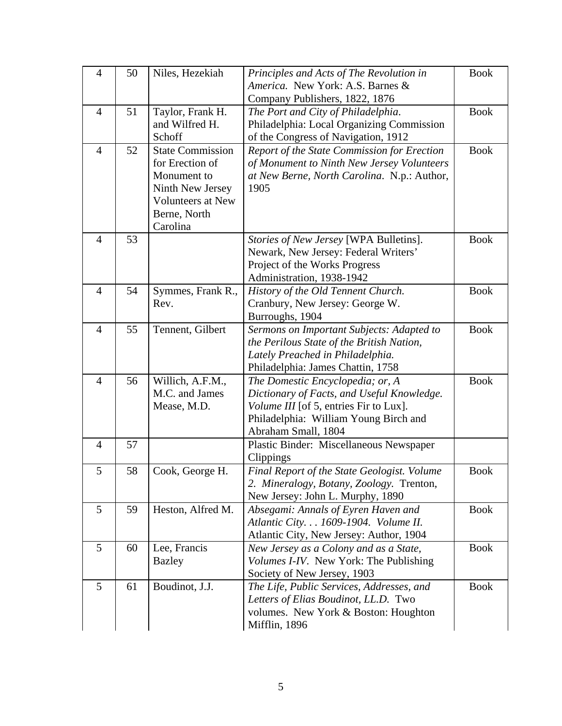| $\overline{4}$ | 50 | Niles, Hezekiah          | Principles and Acts of The Revolution in<br>America. New York: A.S. Barnes &<br>Company Publishers, 1822, 1876 | <b>Book</b> |
|----------------|----|--------------------------|----------------------------------------------------------------------------------------------------------------|-------------|
|                |    |                          |                                                                                                                |             |
| $\overline{4}$ | 51 | Taylor, Frank H.         | The Port and City of Philadelphia.                                                                             | <b>Book</b> |
|                |    | and Wilfred H.           | Philadelphia: Local Organizing Commission                                                                      |             |
|                |    | Schoff                   | of the Congress of Navigation, 1912                                                                            |             |
| $\overline{4}$ | 52 | <b>State Commission</b>  | Report of the State Commission for Erection                                                                    | <b>Book</b> |
|                |    | for Erection of          | of Monument to Ninth New Jersey Volunteers                                                                     |             |
|                |    | Monument to              | at New Berne, North Carolina. N.p.: Author,                                                                    |             |
|                |    | Ninth New Jersey         | 1905                                                                                                           |             |
|                |    | <b>Volunteers at New</b> |                                                                                                                |             |
|                |    | Berne, North             |                                                                                                                |             |
|                |    |                          |                                                                                                                |             |
|                |    | Carolina                 |                                                                                                                |             |
| $\overline{4}$ | 53 |                          | Stories of New Jersey [WPA Bulletins].                                                                         | <b>Book</b> |
|                |    |                          | Newark, New Jersey: Federal Writers'                                                                           |             |
|                |    |                          | Project of the Works Progress                                                                                  |             |
|                |    |                          | Administration, 1938-1942                                                                                      |             |
| $\overline{4}$ | 54 | Symmes, Frank R.,        | History of the Old Tennent Church.                                                                             | <b>Book</b> |
|                |    | Rev.                     | Cranbury, New Jersey: George W.                                                                                |             |
|                |    |                          | Burroughs, 1904                                                                                                |             |
| $\overline{4}$ | 55 | Tennent, Gilbert         | Sermons on Important Subjects: Adapted to                                                                      | <b>Book</b> |
|                |    |                          | the Perilous State of the British Nation,                                                                      |             |
|                |    |                          | Lately Preached in Philadelphia.                                                                               |             |
|                |    |                          | Philadelphia: James Chattin, 1758                                                                              |             |
| $\overline{4}$ | 56 | Willich, A.F.M.,         | The Domestic Encyclopedia; or, A                                                                               | <b>Book</b> |
|                |    | M.C. and James           | Dictionary of Facts, and Useful Knowledge.                                                                     |             |
|                |    | Mease, M.D.              | Volume III [of 5, entries Fir to Lux].                                                                         |             |
|                |    |                          | Philadelphia: William Young Birch and                                                                          |             |
|                |    |                          | Abraham Small, 1804                                                                                            |             |
| $\overline{4}$ | 57 |                          |                                                                                                                |             |
|                |    |                          | Plastic Binder: Miscellaneous Newspaper                                                                        |             |
|                |    |                          | Clippings                                                                                                      |             |
| 5              | 58 | Cook, George H.          | Final Report of the State Geologist. Volume                                                                    | <b>Book</b> |
|                |    |                          | 2. Mineralogy, Botany, Zoology. Trenton,                                                                       |             |
|                |    |                          | New Jersey: John L. Murphy, 1890                                                                               |             |
| 5              | 59 | Heston, Alfred M.        | Absegami: Annals of Eyren Haven and                                                                            | <b>Book</b> |
|                |    |                          | Atlantic City. 1609-1904. Volume II.                                                                           |             |
|                |    |                          | Atlantic City, New Jersey: Author, 1904                                                                        |             |
| 5              | 60 | Lee, Francis             | New Jersey as a Colony and as a State,                                                                         | <b>Book</b> |
|                |    | <b>Bazley</b>            | <i>Volumes I-IV.</i> New York: The Publishing                                                                  |             |
|                |    |                          | Society of New Jersey, 1903                                                                                    |             |
| 5              | 61 | Boudinot, J.J.           | The Life, Public Services, Addresses, and                                                                      | <b>Book</b> |
|                |    |                          | Letters of Elias Boudinot, LL.D. Two                                                                           |             |
|                |    |                          | volumes. New York & Boston: Houghton                                                                           |             |
|                |    |                          |                                                                                                                |             |
|                |    |                          | Mifflin, 1896                                                                                                  |             |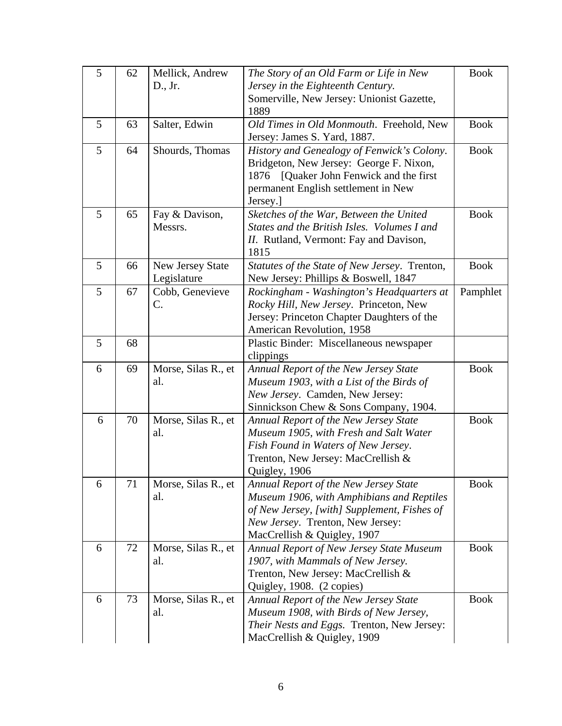| 5 | 62 | Mellick, Andrew     | The Story of an Old Farm or Life in New                                  | <b>Book</b> |
|---|----|---------------------|--------------------------------------------------------------------------|-------------|
|   |    | D., Jr.             | Jersey in the Eighteenth Century.                                        |             |
|   |    |                     | Somerville, New Jersey: Unionist Gazette,                                |             |
|   |    |                     | 1889                                                                     |             |
| 5 | 63 | Salter, Edwin       | Old Times in Old Monmouth. Freehold, New                                 | <b>Book</b> |
|   |    |                     | Jersey: James S. Yard, 1887.                                             |             |
| 5 | 64 | Shourds, Thomas     | History and Genealogy of Fenwick's Colony.                               | <b>Book</b> |
|   |    |                     | Bridgeton, New Jersey: George F. Nixon,                                  |             |
|   |    |                     | [Quaker John Fenwick and the first]<br>1876                              |             |
|   |    |                     | permanent English settlement in New                                      |             |
|   |    |                     | Jersey.]                                                                 |             |
| 5 | 65 | Fay & Davison,      | Sketches of the War, Between the United                                  | <b>Book</b> |
|   |    | Messrs.             | States and the British Isles. Volumes I and                              |             |
|   |    |                     | II. Rutland, Vermont: Fay and Davison,                                   |             |
|   |    |                     | 1815                                                                     |             |
| 5 | 66 | New Jersey State    | Statutes of the State of New Jersey. Trenton,                            | <b>Book</b> |
|   |    | Legislature         | New Jersey: Phillips & Boswell, 1847                                     |             |
| 5 | 67 | Cobb, Genevieve     | Rockingham - Washington's Headquarters at                                | Pamphlet    |
|   |    | C.                  | Rocky Hill, New Jersey. Princeton, New                                   |             |
|   |    |                     | Jersey: Princeton Chapter Daughters of the                               |             |
|   |    |                     | American Revolution, 1958                                                |             |
| 5 | 68 |                     | Plastic Binder: Miscellaneous newspaper                                  |             |
|   |    |                     | clippings                                                                |             |
| 6 | 69 | Morse, Silas R., et | Annual Report of the New Jersey State                                    | <b>Book</b> |
|   |    | al.                 | Museum 1903, with a List of the Birds of                                 |             |
|   |    |                     | New Jersey. Camden, New Jersey:<br>Sinnickson Chew & Sons Company, 1904. |             |
| 6 | 70 | Morse, Silas R., et | Annual Report of the New Jersey State                                    | <b>Book</b> |
|   |    | al.                 | Museum 1905, with Fresh and Salt Water                                   |             |
|   |    |                     | Fish Found in Waters of New Jersey.                                      |             |
|   |    |                     | Trenton, New Jersey: MacCrellish &                                       |             |
|   |    |                     | Quigley, 1906                                                            |             |
| 6 | 71 | Morse, Silas R., et | Annual Report of the New Jersey State                                    | <b>Book</b> |
|   |    | al.                 | Museum 1906, with Amphibians and Reptiles                                |             |
|   |    |                     | of New Jersey, [with] Supplement, Fishes of                              |             |
|   |    |                     | New Jersey. Trenton, New Jersey:                                         |             |
|   |    |                     | MacCrellish & Quigley, 1907                                              |             |
| 6 | 72 | Morse, Silas R., et | <b>Annual Report of New Jersey State Museum</b>                          | <b>Book</b> |
|   |    | al.                 | 1907, with Mammals of New Jersey.                                        |             |
|   |    |                     | Trenton, New Jersey: MacCrellish &                                       |             |
|   |    |                     | Quigley, 1908. (2 copies)                                                |             |
| 6 | 73 | Morse, Silas R., et | Annual Report of the New Jersey State                                    | <b>Book</b> |
|   |    | al.                 | Museum 1908, with Birds of New Jersey,                                   |             |
|   |    |                     | Their Nests and Eggs. Trenton, New Jersey:                               |             |
|   |    |                     | MacCrellish & Quigley, 1909                                              |             |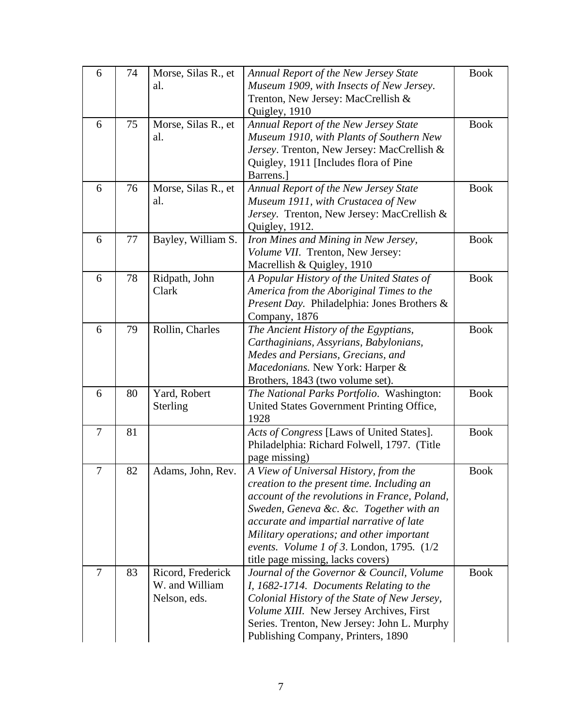| 6              | 74 | Morse, Silas R., et | <b>Annual Report of the New Jersey State</b>  | <b>Book</b> |
|----------------|----|---------------------|-----------------------------------------------|-------------|
|                |    | al.                 | Museum 1909, with Insects of New Jersey.      |             |
|                |    |                     | Trenton, New Jersey: MacCrellish &            |             |
|                |    |                     | Quigley, 1910                                 |             |
| 6              | 75 | Morse, Silas R., et | Annual Report of the New Jersey State         | <b>Book</b> |
|                |    | al.                 | Museum 1910, with Plants of Southern New      |             |
|                |    |                     | Jersey. Trenton, New Jersey: MacCrellish &    |             |
|                |    |                     | Quigley, 1911 [Includes flora of Pine         |             |
|                |    |                     | Barrens.                                      |             |
| 6              | 76 | Morse, Silas R., et | Annual Report of the New Jersey State         | <b>Book</b> |
|                |    | al.                 | Museum 1911, with Crustacea of New            |             |
|                |    |                     | Jersey. Trenton, New Jersey: MacCrellish &    |             |
|                |    |                     | Quigley, 1912.                                |             |
| 6              | 77 | Bayley, William S.  | Iron Mines and Mining in New Jersey,          | <b>Book</b> |
|                |    |                     | Volume VII. Trenton, New Jersey:              |             |
|                |    |                     | Macrellish & Quigley, 1910                    |             |
| 6              | 78 | Ridpath, John       | A Popular History of the United States of     | <b>Book</b> |
|                |    | Clark               | America from the Aboriginal Times to the      |             |
|                |    |                     | Present Day. Philadelphia: Jones Brothers &   |             |
|                |    |                     | Company, 1876                                 |             |
| 6              | 79 | Rollin, Charles     | The Ancient History of the Egyptians,         | <b>Book</b> |
|                |    |                     | Carthaginians, Assyrians, Babylonians,        |             |
|                |    |                     | Medes and Persians, Grecians, and             |             |
|                |    |                     | Macedonians. New York: Harper &               |             |
|                |    |                     | Brothers, 1843 (two volume set).              |             |
| 6              | 80 | Yard, Robert        | The National Parks Portfolio. Washington:     | <b>Book</b> |
|                |    | Sterling            | United States Government Printing Office,     |             |
|                |    |                     | 1928                                          |             |
| $\overline{7}$ | 81 |                     | Acts of Congress [Laws of United States].     | <b>Book</b> |
|                |    |                     | Philadelphia: Richard Folwell, 1797. (Title   |             |
|                |    |                     | page missing)                                 |             |
| 7              | 82 | Adams, John, Rev.   | A View of Universal History, from the         | <b>Book</b> |
|                |    |                     | creation to the present time. Including an    |             |
|                |    |                     | account of the revolutions in France, Poland, |             |
|                |    |                     | Sweden, Geneva &c. &c. Together with an       |             |
|                |    |                     | accurate and impartial narrative of late      |             |
|                |    |                     | Military operations; and other important      |             |
|                |    |                     | events. Volume 1 of 3. London, 1795. $(1/2)$  |             |
|                |    |                     | title page missing, lacks covers)             |             |
| 7              | 83 | Ricord, Frederick   | Journal of the Governor & Council, Volume     | <b>Book</b> |
|                |    | W. and William      | I, 1682-1714. Documents Relating to the       |             |
|                |    | Nelson, eds.        | Colonial History of the State of New Jersey,  |             |
|                |    |                     | Volume XIII. New Jersey Archives, First       |             |
|                |    |                     | Series. Trenton, New Jersey: John L. Murphy   |             |
|                |    |                     | Publishing Company, Printers, 1890            |             |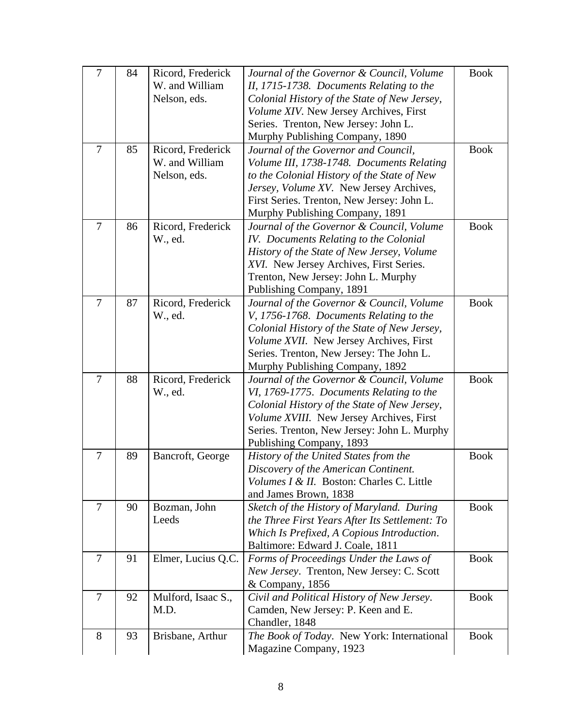| $\overline{7}$ | 84 | Ricord, Frederick<br>W. and William<br>Nelson, eds. | Journal of the Governor & Council, Volume<br>II, 1715-1738. Documents Relating to the<br>Colonial History of the State of New Jersey,<br>Volume XIV. New Jersey Archives, First<br>Series. Trenton, New Jersey: John L.<br>Murphy Publishing Company, 1890     | <b>Book</b> |
|----------------|----|-----------------------------------------------------|----------------------------------------------------------------------------------------------------------------------------------------------------------------------------------------------------------------------------------------------------------------|-------------|
| $\overline{7}$ | 85 | Ricord, Frederick<br>W. and William<br>Nelson, eds. | Journal of the Governor and Council,<br>Volume III, 1738-1748. Documents Relating<br>to the Colonial History of the State of New<br>Jersey, Volume XV. New Jersey Archives,<br>First Series. Trenton, New Jersey: John L.<br>Murphy Publishing Company, 1891   | <b>Book</b> |
| 7              | 86 | Ricord, Frederick<br>W., ed.                        | Journal of the Governor & Council, Volume<br>IV. Documents Relating to the Colonial<br>History of the State of New Jersey, Volume<br>XVI. New Jersey Archives, First Series.<br>Trenton, New Jersey: John L. Murphy<br>Publishing Company, 1891                | <b>Book</b> |
| 7              | 87 | Ricord, Frederick<br>W., ed.                        | Journal of the Governor & Council, Volume<br>V, 1756-1768. Documents Relating to the<br>Colonial History of the State of New Jersey,<br>Volume XVII. New Jersey Archives, First<br>Series. Trenton, New Jersey: The John L.<br>Murphy Publishing Company, 1892 | <b>Book</b> |
| $\overline{7}$ | 88 | Ricord, Frederick<br>W., ed.                        | Journal of the Governor & Council, Volume<br>VI, 1769-1775. Documents Relating to the<br>Colonial History of the State of New Jersey,<br>Volume XVIII. New Jersey Archives, First<br>Series. Trenton, New Jersey: John L. Murphy<br>Publishing Company, 1893   | <b>Book</b> |
| 7              | 89 | Bancroft, George                                    | History of the United States from the<br>Discovery of the American Continent.<br>Volumes I & II. Boston: Charles C. Little<br>and James Brown, 1838                                                                                                            | <b>Book</b> |
| 7              | 90 | Bozman, John<br>Leeds                               | Sketch of the History of Maryland. During<br>the Three First Years After Its Settlement: To<br>Which Is Prefixed, A Copious Introduction.<br>Baltimore: Edward J. Coale, 1811                                                                                  | <b>Book</b> |
| 7              | 91 | Elmer, Lucius Q.C.                                  | Forms of Proceedings Under the Laws of<br>New Jersey. Trenton, New Jersey: C. Scott<br>& Company, 1856                                                                                                                                                         | <b>Book</b> |
| $\tau$         | 92 | Mulford, Isaac S.,<br>M.D.                          | Civil and Political History of New Jersey.<br>Camden, New Jersey: P. Keen and E.<br>Chandler, 1848                                                                                                                                                             | <b>Book</b> |
| 8              | 93 | Brisbane, Arthur                                    | The Book of Today. New York: International<br>Magazine Company, 1923                                                                                                                                                                                           | <b>Book</b> |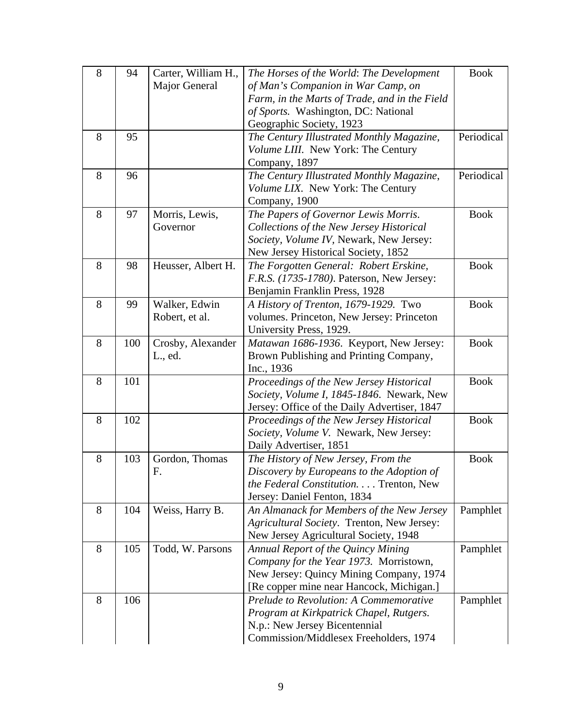| 8 | 94  | Carter, William H., | The Horses of the World: The Development      | <b>Book</b> |
|---|-----|---------------------|-----------------------------------------------|-------------|
|   |     | Major General       | of Man's Companion in War Camp, on            |             |
|   |     |                     | Farm, in the Marts of Trade, and in the Field |             |
|   |     |                     | of Sports. Washington, DC: National           |             |
|   |     |                     | Geographic Society, 1923                      |             |
| 8 | 95  |                     | The Century Illustrated Monthly Magazine,     | Periodical  |
|   |     |                     | Volume LIII. New York: The Century            |             |
|   |     |                     | Company, 1897                                 |             |
| 8 | 96  |                     | The Century Illustrated Monthly Magazine,     | Periodical  |
|   |     |                     | Volume LIX. New York: The Century             |             |
|   |     |                     | Company, 1900                                 |             |
| 8 | 97  | Morris, Lewis,      | The Papers of Governor Lewis Morris.          | <b>Book</b> |
|   |     | Governor            | Collections of the New Jersey Historical      |             |
|   |     |                     | Society, Volume IV, Newark, New Jersey:       |             |
|   |     |                     | New Jersey Historical Society, 1852           |             |
| 8 | 98  | Heusser, Albert H.  | The Forgotten General: Robert Erskine,        | <b>Book</b> |
|   |     |                     | F.R.S. (1735-1780). Paterson, New Jersey:     |             |
|   |     |                     | Benjamin Franklin Press, 1928                 |             |
| 8 | 99  | Walker, Edwin       | A History of Trenton, 1679-1929. Two          | <b>Book</b> |
|   |     | Robert, et al.      | volumes. Princeton, New Jersey: Princeton     |             |
|   |     |                     | University Press, 1929.                       |             |
| 8 | 100 | Crosby, Alexander   | Matawan 1686-1936. Keyport, New Jersey:       | <b>Book</b> |
|   |     | L., ed.             | Brown Publishing and Printing Company,        |             |
|   |     |                     | Inc., 1936                                    |             |
| 8 | 101 |                     | Proceedings of the New Jersey Historical      | <b>Book</b> |
|   |     |                     | Society, Volume I, 1845-1846. Newark, New     |             |
|   |     |                     | Jersey: Office of the Daily Advertiser, 1847  |             |
| 8 | 102 |                     | Proceedings of the New Jersey Historical      | <b>Book</b> |
|   |     |                     | Society, Volume V. Newark, New Jersey:        |             |
|   |     |                     | Daily Advertiser, 1851                        |             |
| 8 | 103 | Gordon, Thomas      | The History of New Jersey, From the           | <b>Book</b> |
|   |     | F.                  | Discovery by Europeans to the Adoption of     |             |
|   |     |                     | the Federal Constitution. Trenton, New        |             |
|   |     |                     | Jersey: Daniel Fenton, 1834                   |             |
| 8 | 104 | Weiss, Harry B.     | An Almanack for Members of the New Jersey     | Pamphlet    |
|   |     |                     | Agricultural Society. Trenton, New Jersey:    |             |
|   |     |                     | New Jersey Agricultural Society, 1948         |             |
| 8 | 105 | Todd, W. Parsons    | Annual Report of the Quincy Mining            | Pamphlet    |
|   |     |                     | Company for the Year 1973. Morristown,        |             |
|   |     |                     | New Jersey: Quincy Mining Company, 1974       |             |
|   |     |                     | [Re copper mine near Hancock, Michigan.]      |             |
| 8 | 106 |                     | Prelude to Revolution: A Commemorative        | Pamphlet    |
|   |     |                     | Program at Kirkpatrick Chapel, Rutgers.       |             |
|   |     |                     | N.p.: New Jersey Bicentennial                 |             |
|   |     |                     | Commission/Middlesex Freeholders, 1974        |             |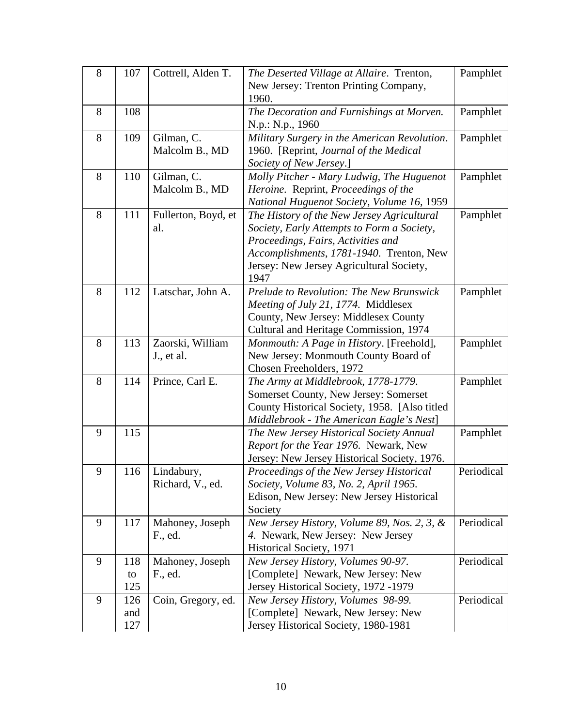| 8 | 107 | Cottrell, Alden T.         | The Deserted Village at Allaire. Trenton,                                        | Pamphlet   |
|---|-----|----------------------------|----------------------------------------------------------------------------------|------------|
|   |     |                            | New Jersey: Trenton Printing Company,                                            |            |
|   |     |                            | 1960.                                                                            |            |
| 8 | 108 |                            | The Decoration and Furnishings at Morven.                                        | Pamphlet   |
|   |     |                            | N.p.: N.p., 1960                                                                 |            |
| 8 | 109 | Gilman, C.                 | Military Surgery in the American Revolution.                                     | Pamphlet   |
|   |     | Malcolm B., MD             | 1960. [Reprint, Journal of the Medical                                           |            |
|   |     |                            | Society of New Jersey.]                                                          |            |
| 8 | 110 | Gilman, C.                 | Molly Pitcher - Mary Ludwig, The Huguenot                                        | Pamphlet   |
|   |     | Malcolm B., MD             | Heroine. Reprint, Proceedings of the                                             |            |
|   |     |                            | National Huguenot Society, Volume 16, 1959                                       |            |
| 8 | 111 | Fullerton, Boyd, et        | The History of the New Jersey Agricultural                                       | Pamphlet   |
|   |     | al.                        | Society, Early Attempts to Form a Society,                                       |            |
|   |     |                            | Proceedings, Fairs, Activities and                                               |            |
|   |     |                            | Accomplishments, 1781-1940. Trenton, New                                         |            |
|   |     |                            | Jersey: New Jersey Agricultural Society,                                         |            |
|   |     |                            | 1947                                                                             |            |
| 8 | 112 | Latschar, John A.          | Prelude to Revolution: The New Brunswick                                         | Pamphlet   |
|   |     |                            | Meeting of July 21, 1774. Middlesex                                              |            |
|   |     |                            | County, New Jersey: Middlesex County                                             |            |
|   |     |                            | Cultural and Heritage Commission, 1974                                           |            |
| 8 | 113 | Zaorski, William           | Monmouth: A Page in History. [Freehold],                                         | Pamphlet   |
|   |     | J., et al.                 | New Jersey: Monmouth County Board of                                             |            |
|   |     |                            | Chosen Freeholders, 1972                                                         |            |
| 8 | 114 | Prince, Carl E.            | The Army at Middlebrook, 1778-1779.                                              | Pamphlet   |
|   |     |                            | Somerset County, New Jersey: Somerset                                            |            |
|   |     |                            | County Historical Society, 1958. [Also titled                                    |            |
|   |     |                            | Middlebrook - The American Eagle's Nest]                                         |            |
| 9 | 115 |                            | The New Jersey Historical Society Annual                                         | Pamphlet   |
|   |     |                            | Report for the Year 1976. Newark, New                                            |            |
|   |     |                            | Jersey: New Jersey Historical Society, 1976.                                     |            |
| 9 | 116 | Lindabury,                 | Proceedings of the New Jersey Historical                                         | Periodical |
|   |     | Richard, V., ed.           | Society, Volume 83, No. 2, April 1965.                                           |            |
|   |     |                            | Edison, New Jersey: New Jersey Historical                                        |            |
| 9 | 117 |                            | Society                                                                          | Periodical |
|   |     | Mahoney, Joseph<br>F., ed. | New Jersey History, Volume 89, Nos. 2, 3, &<br>4. Newark, New Jersey: New Jersey |            |
|   |     |                            | Historical Society, 1971                                                         |            |
| 9 | 118 | Mahoney, Joseph            | New Jersey History, Volumes 90-97.                                               | Periodical |
|   | to  | F., ed.                    | [Complete] Newark, New Jersey: New                                               |            |
|   | 125 |                            | Jersey Historical Society, 1972 -1979                                            |            |
| 9 | 126 | Coin, Gregory, ed.         | New Jersey History, Volumes 98-99.                                               | Periodical |
|   | and |                            | [Complete] Newark, New Jersey: New                                               |            |
|   | 127 |                            | Jersey Historical Society, 1980-1981                                             |            |
|   |     |                            |                                                                                  |            |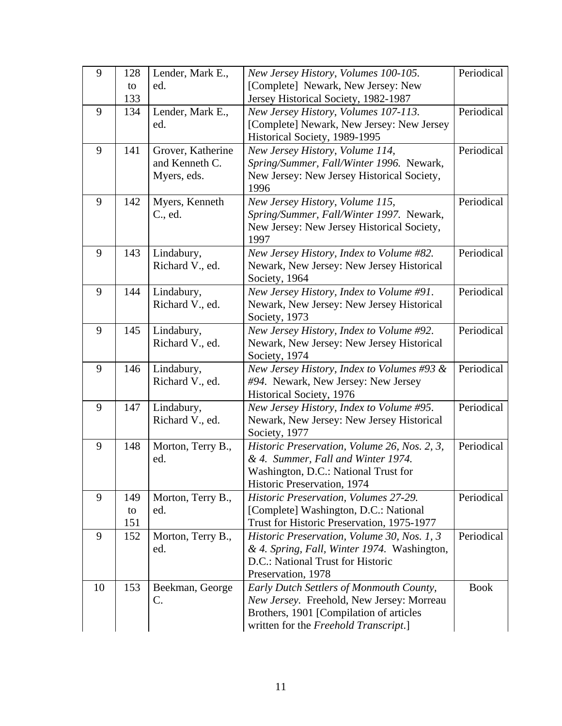| 9  | 128       | Lender, Mark E.,         | New Jersey History, Volumes 100-105.                                           | Periodical  |
|----|-----------|--------------------------|--------------------------------------------------------------------------------|-------------|
|    | to        | ed.                      | [Complete] Newark, New Jersey: New                                             |             |
|    | 133       |                          | Jersey Historical Society, 1982-1987                                           |             |
| 9  | 134       | Lender, Mark E.,         | New Jersey History, Volumes 107-113.                                           | Periodical  |
|    |           | ed.                      | [Complete] Newark, New Jersey: New Jersey                                      |             |
|    |           |                          | Historical Society, 1989-1995                                                  |             |
| 9  | 141       | Grover, Katherine        | New Jersey History, Volume 114,                                                | Periodical  |
|    |           | and Kenneth C.           | Spring/Summer, Fall/Winter 1996. Newark,                                       |             |
|    |           | Myers, eds.              | New Jersey: New Jersey Historical Society,<br>1996                             |             |
| 9  | 142       | Myers, Kenneth           | New Jersey History, Volume 115,                                                | Periodical  |
|    |           | C., ed.                  | Spring/Summer, Fall/Winter 1997. Newark,                                       |             |
|    |           |                          | New Jersey: New Jersey Historical Society,                                     |             |
|    |           |                          | 1997                                                                           |             |
| 9  | 143       | Lindabury,               | New Jersey History, Index to Volume #82.                                       | Periodical  |
|    |           | Richard V., ed.          | Newark, New Jersey: New Jersey Historical                                      |             |
|    |           |                          | Society, 1964                                                                  |             |
| 9  | 144       | Lindabury,               | New Jersey History, Index to Volume #91.                                       | Periodical  |
|    |           | Richard V., ed.          | Newark, New Jersey: New Jersey Historical                                      |             |
|    |           |                          | Society, 1973                                                                  |             |
| 9  | 145       | Lindabury,               | New Jersey History, Index to Volume #92.                                       | Periodical  |
|    |           | Richard V., ed.          | Newark, New Jersey: New Jersey Historical<br>Society, 1974                     |             |
| 9  | 146       | Lindabury,               | New Jersey History, Index to Volumes #93 $\&$                                  | Periodical  |
|    |           | Richard V., ed.          | #94. Newark, New Jersey: New Jersey                                            |             |
|    |           |                          | Historical Society, 1976                                                       |             |
| 9  | 147       | Lindabury,               | New Jersey History, Index to Volume #95.                                       | Periodical  |
|    |           | Richard V., ed.          | Newark, New Jersey: New Jersey Historical                                      |             |
|    |           |                          | Society, 1977                                                                  |             |
| 9  | 148       | Morton, Terry B.,        | Historic Preservation, Volume 26, Nos. 2, 3,                                   | Periodical  |
|    |           | ed.                      | & 4. Summer, Fall and Winter 1974.                                             |             |
|    |           |                          | Washington, D.C.: National Trust for                                           |             |
|    |           |                          | Historic Preservation, 1974                                                    |             |
| 9  | 149       | Morton, Terry B.,<br>ed. | Historic Preservation, Volumes 27-29.<br>[Complete] Washington, D.C.: National | Periodical  |
|    | to<br>151 |                          | Trust for Historic Preservation, 1975-1977                                     |             |
| 9  | 152       | Morton, Terry B.,        | Historic Preservation, Volume 30, Nos. 1, 3                                    | Periodical  |
|    |           | ed.                      | & 4. Spring, Fall, Winter 1974. Washington,                                    |             |
|    |           |                          | D.C.: National Trust for Historic                                              |             |
|    |           |                          | Preservation, 1978                                                             |             |
| 10 | 153       | Beekman, George          | Early Dutch Settlers of Monmouth County,                                       | <b>Book</b> |
|    |           | C.                       | New Jersey. Freehold, New Jersey: Morreau                                      |             |
|    |           |                          | Brothers, 1901 [Compilation of articles                                        |             |
|    |           |                          | written for the Freehold Transcript.]                                          |             |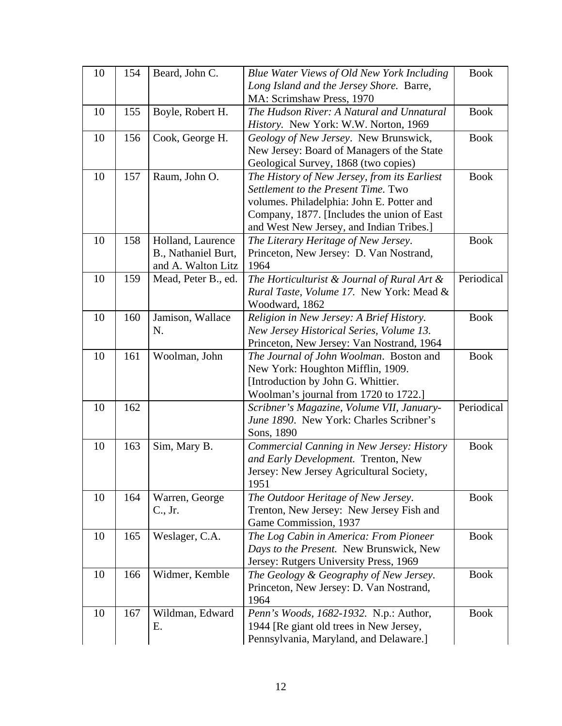| 10 | 154 | Beard, John C.      | Blue Water Views of Old New York Including                                          | <b>Book</b> |
|----|-----|---------------------|-------------------------------------------------------------------------------------|-------------|
|    |     |                     | Long Island and the Jersey Shore. Barre,                                            |             |
|    |     |                     | MA: Scrimshaw Press, 1970                                                           |             |
| 10 | 155 | Boyle, Robert H.    | The Hudson River: A Natural and Unnatural                                           | <b>Book</b> |
|    |     |                     | History. New York: W.W. Norton, 1969                                                |             |
| 10 | 156 | Cook, George H.     | Geology of New Jersey. New Brunswick,                                               | <b>Book</b> |
|    |     |                     | New Jersey: Board of Managers of the State                                          |             |
|    |     |                     | Geological Survey, 1868 (two copies)                                                |             |
| 10 | 157 | Raum, John O.       | The History of New Jersey, from its Earliest<br>Settlement to the Present Time. Two | <b>Book</b> |
|    |     |                     | volumes. Philadelphia: John E. Potter and                                           |             |
|    |     |                     | Company, 1877. [Includes the union of East                                          |             |
|    |     |                     | and West New Jersey, and Indian Tribes.]                                            |             |
| 10 | 158 | Holland, Laurence   | The Literary Heritage of New Jersey.                                                | <b>Book</b> |
|    |     | B., Nathaniel Burt, | Princeton, New Jersey: D. Van Nostrand,                                             |             |
|    |     | and A. Walton Litz  | 1964                                                                                |             |
| 10 | 159 | Mead, Peter B., ed. | The Horticulturist $& Journal of Rural Art &$                                       | Periodical  |
|    |     |                     | Rural Taste, Volume 17. New York: Mead &                                            |             |
|    |     |                     | Woodward, 1862                                                                      |             |
| 10 | 160 | Jamison, Wallace    | Religion in New Jersey: A Brief History.                                            | <b>Book</b> |
|    |     | N.                  | New Jersey Historical Series, Volume 13.                                            |             |
|    |     |                     | Princeton, New Jersey: Van Nostrand, 1964                                           |             |
| 10 | 161 | Woolman, John       | The Journal of John Woolman. Boston and                                             | <b>Book</b> |
|    |     |                     | New York: Houghton Mifflin, 1909.                                                   |             |
|    |     |                     | [Introduction by John G. Whittier.                                                  |             |
|    |     |                     | Woolman's journal from 1720 to 1722.]                                               |             |
| 10 | 162 |                     | Scribner's Magazine, Volume VII, January-                                           | Periodical  |
|    |     |                     | June 1890. New York: Charles Scribner's                                             |             |
|    |     |                     | Sons, 1890                                                                          |             |
| 10 | 163 | Sim, Mary B.        | Commercial Canning in New Jersey: History                                           | <b>Book</b> |
|    |     |                     | and Early Development. Trenton, New                                                 |             |
|    |     |                     | Jersey: New Jersey Agricultural Society,<br>1951                                    |             |
| 10 | 164 | Warren, George      | The Outdoor Heritage of New Jersey.                                                 | <b>Book</b> |
|    |     | C., Jr.             | Trenton, New Jersey: New Jersey Fish and                                            |             |
|    |     |                     | Game Commission, 1937                                                               |             |
| 10 | 165 | Weslager, C.A.      | The Log Cabin in America: From Pioneer                                              | <b>Book</b> |
|    |     |                     | Days to the Present. New Brunswick, New                                             |             |
|    |     |                     | Jersey: Rutgers University Press, 1969                                              |             |
| 10 | 166 | Widmer, Kemble      | The Geology & Geography of New Jersey.                                              | <b>Book</b> |
|    |     |                     | Princeton, New Jersey: D. Van Nostrand,                                             |             |
|    |     |                     | 1964                                                                                |             |
| 10 | 167 | Wildman, Edward     | Penn's Woods, 1682-1932. N.p.: Author,                                              | <b>Book</b> |
|    |     | Ε.                  | 1944 [Re giant old trees in New Jersey,                                             |             |
|    |     |                     | Pennsylvania, Maryland, and Delaware.]                                              |             |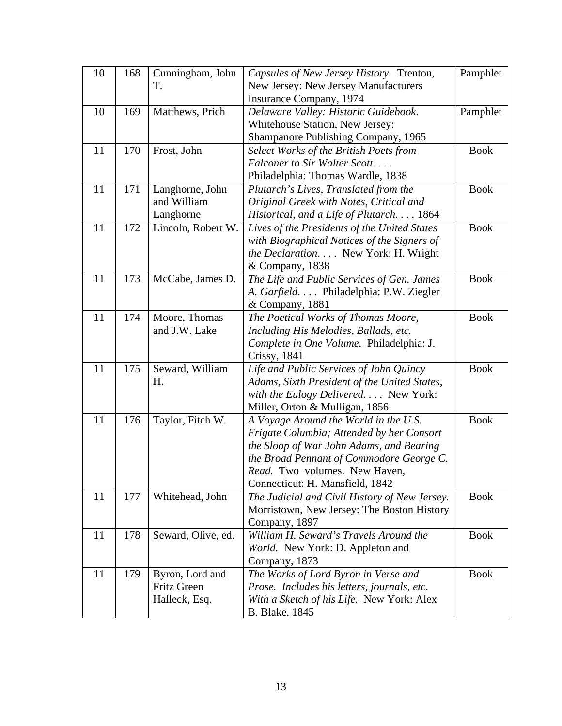| 10 | 168 | Cunningham, John   | Capsules of New Jersey History. Trenton,      | Pamphlet    |
|----|-----|--------------------|-----------------------------------------------|-------------|
|    |     | T.                 | New Jersey: New Jersey Manufacturers          |             |
|    |     |                    | Insurance Company, 1974                       |             |
| 10 | 169 | Matthews, Prich    | Delaware Valley: Historic Guidebook.          | Pamphlet    |
|    |     |                    | Whitehouse Station, New Jersey:               |             |
|    |     |                    | Shampanore Publishing Company, 1965           |             |
| 11 | 170 | Frost, John        | Select Works of the British Poets from        | <b>Book</b> |
|    |     |                    | Falconer to Sir Walter Scott                  |             |
|    |     |                    | Philadelphia: Thomas Wardle, 1838             |             |
| 11 | 171 | Langhorne, John    | Plutarch's Lives, Translated from the         | <b>Book</b> |
|    |     | and William        | Original Greek with Notes, Critical and       |             |
|    |     | Langhorne          | Historical, and a Life of Plutarch. 1864      |             |
| 11 | 172 | Lincoln, Robert W. | Lives of the Presidents of the United States  | <b>Book</b> |
|    |     |                    | with Biographical Notices of the Signers of   |             |
|    |     |                    | the Declaration. New York: H. Wright          |             |
|    |     |                    | & Company, 1838                               |             |
| 11 | 173 | McCabe, James D.   | The Life and Public Services of Gen. James    | <b>Book</b> |
|    |     |                    | A. Garfield. Philadelphia: P.W. Ziegler       |             |
|    |     |                    | & Company, 1881                               |             |
| 11 | 174 | Moore, Thomas      | The Poetical Works of Thomas Moore,           | <b>Book</b> |
|    |     | and J.W. Lake      | Including His Melodies, Ballads, etc.         |             |
|    |     |                    | Complete in One Volume. Philadelphia: J.      |             |
|    |     |                    | Crissy, 1841                                  |             |
| 11 | 175 | Seward, William    | Life and Public Services of John Quincy       | <b>Book</b> |
|    |     | H.                 | Adams, Sixth President of the United States,  |             |
|    |     |                    | with the Eulogy Delivered. New York:          |             |
|    |     |                    | Miller, Orton & Mulligan, 1856                |             |
| 11 | 176 | Taylor, Fitch W.   | A Voyage Around the World in the U.S.         | <b>Book</b> |
|    |     |                    | Frigate Columbia; Attended by her Consort     |             |
|    |     |                    | the Sloop of War John Adams, and Bearing      |             |
|    |     |                    | the Broad Pennant of Commodore George C.      |             |
|    |     |                    | Read. Two volumes. New Haven,                 |             |
|    |     |                    | Connecticut: H. Mansfield, 1842               |             |
| 11 | 177 | Whitehead, John    | The Judicial and Civil History of New Jersey. | <b>Book</b> |
|    |     |                    | Morristown, New Jersey: The Boston History    |             |
|    |     |                    | Company, 1897                                 |             |
| 11 | 178 | Seward, Olive, ed. | William H. Seward's Travels Around the        | <b>Book</b> |
|    |     |                    | World. New York: D. Appleton and              |             |
|    |     |                    | Company, 1873                                 |             |
| 11 | 179 | Byron, Lord and    | The Works of Lord Byron in Verse and          | <b>Book</b> |
|    |     | <b>Fritz Green</b> | Prose. Includes his letters, journals, etc.   |             |
|    |     | Halleck, Esq.      | With a Sketch of his Life. New York: Alex     |             |
|    |     |                    | <b>B.</b> Blake, 1845                         |             |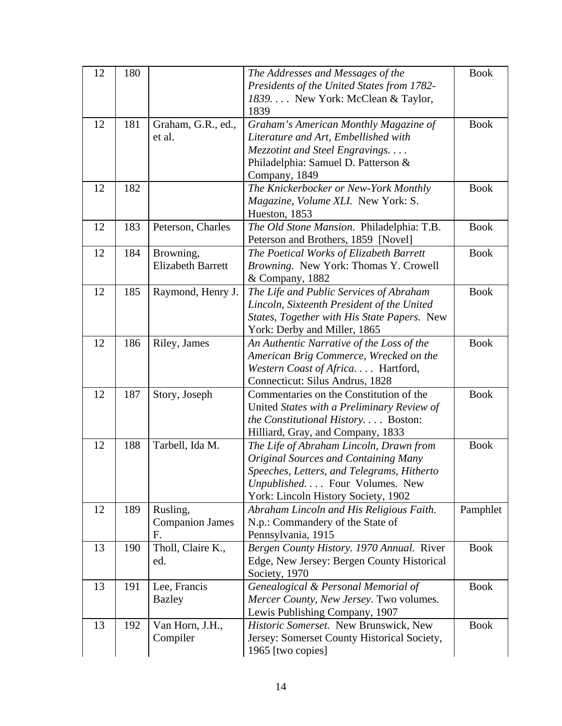| 12 | 180 |                                          | The Addresses and Messages of the<br>Presidents of the United States from 1782-<br>1839 New York: McClean & Taylor,                                                                                          | <b>Book</b> |
|----|-----|------------------------------------------|--------------------------------------------------------------------------------------------------------------------------------------------------------------------------------------------------------------|-------------|
| 12 | 181 | Graham, G.R., ed.,<br>et al.             | 1839<br>Graham's American Monthly Magazine of<br>Literature and Art, Embellished with<br>Mezzotint and Steel Engravings                                                                                      | <b>Book</b> |
|    |     |                                          | Philadelphia: Samuel D. Patterson &<br>Company, 1849                                                                                                                                                         |             |
| 12 | 182 |                                          | The Knickerbocker or New-York Monthly<br>Magazine, Volume XLI. New York: S.<br>Hueston, 1853                                                                                                                 | <b>Book</b> |
| 12 | 183 | Peterson, Charles                        | The Old Stone Mansion. Philadelphia: T.B.<br>Peterson and Brothers, 1859 [Novel]                                                                                                                             | <b>Book</b> |
| 12 | 184 | Browning,<br><b>Elizabeth Barrett</b>    | The Poetical Works of Elizabeth Barrett<br>Browning. New York: Thomas Y. Crowell<br>& Company, 1882                                                                                                          | <b>Book</b> |
| 12 | 185 | Raymond, Henry J.                        | The Life and Public Services of Abraham<br>Lincoln, Sixteenth President of the United<br>States, Together with His State Papers. New<br>York: Derby and Miller, 1865                                         | <b>Book</b> |
| 12 | 186 | Riley, James                             | An Authentic Narrative of the Loss of the<br>American Brig Commerce, Wrecked on the<br>Western Coast of Africa Hartford,<br>Connecticut: Silus Andrus, 1828                                                  | <b>Book</b> |
| 12 | 187 | Story, Joseph                            | Commentaries on the Constitution of the<br>United States with a Preliminary Review of<br>the Constitutional History Boston:<br>Hilliard, Gray, and Company, 1833                                             | <b>Book</b> |
| 12 | 188 | Tarbell, Ida M.                          | The Life of Abraham Lincoln, Drawn from<br><b>Original Sources and Containing Many</b><br>Speeches, Letters, and Telegrams, Hitherto<br>Unpublished Four Volumes. New<br>York: Lincoln History Society, 1902 | <b>Book</b> |
| 12 | 189 | Rusling,<br><b>Companion James</b><br>F. | Abraham Lincoln and His Religious Faith.<br>N.p.: Commandery of the State of<br>Pennsylvania, 1915                                                                                                           | Pamphlet    |
| 13 | 190 | Tholl, Claire K.,<br>ed.                 | Bergen County History. 1970 Annual. River<br>Edge, New Jersey: Bergen County Historical<br>Society, 1970                                                                                                     | <b>Book</b> |
| 13 | 191 | Lee, Francis<br><b>Bazley</b>            | Genealogical & Personal Memorial of<br>Mercer County, New Jersey. Two volumes.<br>Lewis Publishing Company, 1907                                                                                             | <b>Book</b> |
| 13 | 192 | Van Horn, J.H.,<br>Compiler              | Historic Somerset. New Brunswick, New<br>Jersey: Somerset County Historical Society,<br>1965 [two copies]                                                                                                    | <b>Book</b> |